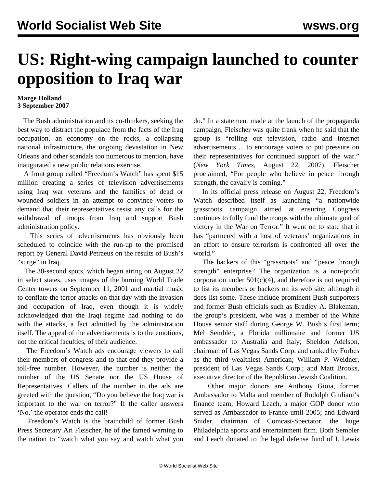## **US: Right-wing campaign launched to counter opposition to Iraq war**

## **Marge Holland 3 September 2007**

 The Bush administration and its co-thinkers, seeking the best way to distract the populace from the facts of the Iraq occupation, an economy on the rocks, a collapsing national infrastructure, the ongoing devastation in New Orleans and other scandals too numerous to mention, have inaugurated a new public relations exercise.

 A front group called "Freedom's Watch" has spent \$15 million creating a series of television advertisements using Iraq war veterans and the families of dead or wounded soldiers in an attempt to convince voters to demand that their representatives resist any calls for the withdrawal of troops from Iraq and support Bush administration policy.

 This series of advertisements has obviously been scheduled to coincide with the run-up to the promised report by General David Petraeus on the results of Bush's "surge" in Iraq.

 The 30-second spots, which began airing on August 22 in select states, uses images of the burning World Trade Center towers on September 11, 2001 and martial music to conflate the terror attacks on that day with the invasion and occupation of Iraq, even though it is widely acknowledged that the Iraqi regime had nothing to do with the attacks, a fact admitted by the administration itself. The appeal of the advertisements is to the emotions, not the critical faculties, of their audience.

 The Freedom's Watch ads encourage viewers to call their members of congress and to that end they provide a toll-free number. However, the number is neither the number of the US Senate nor the US House of Representatives. Callers of the number in the ads are greeted with the question, "Do you believe the Iraq war is important to the war on terror?" If the caller answers 'No,' the operator ends the call!

 Freedom's Watch is the brainchild of former Bush Press Secretary Ari Fleischer, he of the famed warning to the nation to "watch what you say and watch what you

do." In a statement made at the launch of the propaganda campaign, Fleischer was quite frank when he said that the group is "rolling out television, radio and internet advertisements ... to encourage voters to put pressure on their representatives for continued support of the war." (*New York Times*, August 22, 2007). Fleischer proclaimed, "For people who believe in peace through strength, the cavalry is coming."

 In its official press release on August 22, Freedom's Watch described itself as launching "a nationwide grassroots campaign aimed at ensuring Congress continues to fully fund the troops with the ultimate goal of victory in the War on Terror." It went on to state that it has "partnered with a host of veterans' organizations in an effort to ensure terrorism is confronted all over the world."

 The backers of this "grassroots" and "peace through strength" enterprise? The organization is a non-profit corporation under  $501(c)(4)$ , and therefore is not required to list its members or backers on its web site, although it does list some. These include prominent Bush supporters and former Bush officials such as Bradley A. Blakeman, the group's president, who was a member of the White House senior staff during George W. Bush's first term; Mel Sembler, a Florida millionaire and former US ambassador to Australia and Italy; Sheldon Adelson, chairman of Las Vegas Sands Corp. and ranked by Forbes as the third wealthiest American; William P. Weidner, president of Las Vegas Sands Corp.; and Matt Brooks, executive director of the Republican Jewish Coalition.

 Other major donors are Anthony Gioia, former Ambassador to Malta and member of Rudolph Giuliani's finance team; Howard Leach, a major GOP donor who served as Ambassador to France until 2005; and Edward Snider, chairman of Comcast-Spectator, the huge Philadelphia sports and entertainment firm. Both Sembler and Leach donated to the legal defense fund of I. Lewis